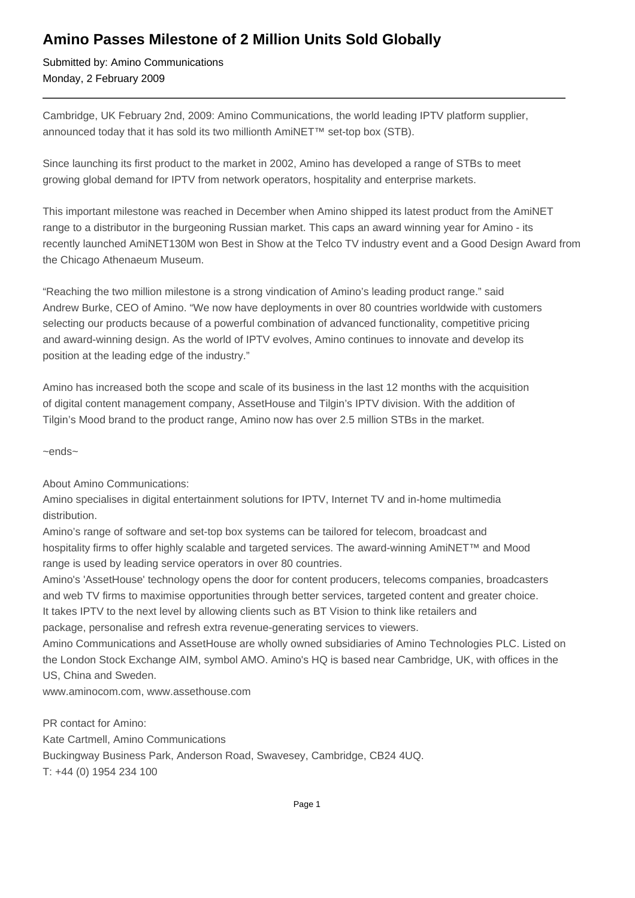## **Amino Passes Milestone of 2 Million Units Sold Globally**

Submitted by: Amino Communications Monday, 2 February 2009

Cambridge, UK February 2nd, 2009: Amino Communications, the world leading IPTV platform supplier, announced today that it has sold its two millionth AmiNET™ set-top box (STB).

Since launching its first product to the market in 2002, Amino has developed a range of STBs to meet growing global demand for IPTV from network operators, hospitality and enterprise markets.

This important milestone was reached in December when Amino shipped its latest product from the AmiNET range to a distributor in the burgeoning Russian market. This caps an award winning year for Amino - its recently launched AmiNET130M won Best in Show at the Telco TV industry event and a Good Design Award from the Chicago Athenaeum Museum.

"Reaching the two million milestone is a strong vindication of Amino's leading product range." said Andrew Burke, CEO of Amino. "We now have deployments in over 80 countries worldwide with customers selecting our products because of a powerful combination of advanced functionality, competitive pricing and award-winning design. As the world of IPTV evolves, Amino continues to innovate and develop its position at the leading edge of the industry."

Amino has increased both the scope and scale of its business in the last 12 months with the acquisition of digital content management company, AssetHouse and Tilgin's IPTV division. With the addition of Tilgin's Mood brand to the product range, Amino now has over 2.5 million STBs in the market.

~ends~

About Amino Communications:

Amino specialises in digital entertainment solutions for IPTV, Internet TV and in-home multimedia distribution.

Amino's range of software and set-top box systems can be tailored for telecom, broadcast and hospitality firms to offer highly scalable and targeted services. The award-winning AmiNET™ and Mood range is used by leading service operators in over 80 countries.

Amino's 'AssetHouse' technology opens the door for content producers, telecoms companies, broadcasters and web TV firms to maximise opportunities through better services, targeted content and greater choice. It takes IPTV to the next level by allowing clients such as BT Vision to think like retailers and package, personalise and refresh extra revenue-generating services to viewers.

Amino Communications and AssetHouse are wholly owned subsidiaries of Amino Technologies PLC. Listed on the London Stock Exchange AIM, symbol AMO. Amino's HQ is based near Cambridge, UK, with offices in the US, China and Sweden.

www.aminocom.com, www.assethouse.com

PR contact for Amino: Kate Cartmell, Amino Communications Buckingway Business Park, Anderson Road, Swavesey, Cambridge, CB24 4UQ. T: +44 (0) 1954 234 100